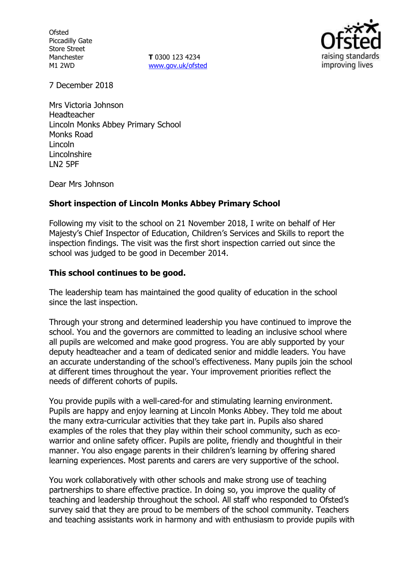**Ofsted** Piccadilly Gate Store Street Manchester M1 2WD

**T** 0300 123 4234 www.gov.uk/ofsted



7 December 2018

Mrs Victoria Johnson Headteacher Lincoln Monks Abbey Primary School Monks Road Lincoln Lincolnshire LN2 5PF

Dear Mrs Johnson

# **Short inspection of Lincoln Monks Abbey Primary School**

Following my visit to the school on 21 November 2018, I write on behalf of Her Majesty's Chief Inspector of Education, Children's Services and Skills to report the inspection findings. The visit was the first short inspection carried out since the school was judged to be good in December 2014.

# **This school continues to be good.**

The leadership team has maintained the good quality of education in the school since the last inspection.

Through your strong and determined leadership you have continued to improve the school. You and the governors are committed to leading an inclusive school where all pupils are welcomed and make good progress. You are ably supported by your deputy headteacher and a team of dedicated senior and middle leaders. You have an accurate understanding of the school's effectiveness. Many pupils join the school at different times throughout the year. Your improvement priorities reflect the needs of different cohorts of pupils.

You provide pupils with a well-cared-for and stimulating learning environment. Pupils are happy and enjoy learning at Lincoln Monks Abbey. They told me about the many extra-curricular activities that they take part in. Pupils also shared examples of the roles that they play within their school community, such as ecowarrior and online safety officer. Pupils are polite, friendly and thoughtful in their manner. You also engage parents in their children's learning by offering shared learning experiences. Most parents and carers are very supportive of the school.

You work collaboratively with other schools and make strong use of teaching partnerships to share effective practice. In doing so, you improve the quality of teaching and leadership throughout the school. All staff who responded to Ofsted's survey said that they are proud to be members of the school community. Teachers and teaching assistants work in harmony and with enthusiasm to provide pupils with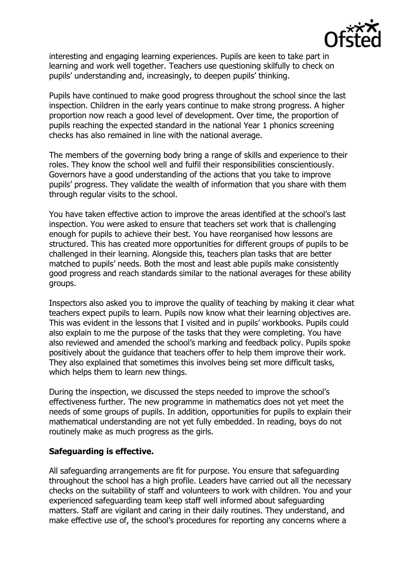

interesting and engaging learning experiences. Pupils are keen to take part in learning and work well together. Teachers use questioning skilfully to check on pupils' understanding and, increasingly, to deepen pupils' thinking.

Pupils have continued to make good progress throughout the school since the last inspection. Children in the early years continue to make strong progress. A higher proportion now reach a good level of development. Over time, the proportion of pupils reaching the expected standard in the national Year 1 phonics screening checks has also remained in line with the national average.

The members of the governing body bring a range of skills and experience to their roles. They know the school well and fulfil their responsibilities conscientiously. Governors have a good understanding of the actions that you take to improve pupils' progress. They validate the wealth of information that you share with them through regular visits to the school.

You have taken effective action to improve the areas identified at the school's last inspection. You were asked to ensure that teachers set work that is challenging enough for pupils to achieve their best. You have reorganised how lessons are structured. This has created more opportunities for different groups of pupils to be challenged in their learning. Alongside this, teachers plan tasks that are better matched to pupils' needs. Both the most and least able pupils make consistently good progress and reach standards similar to the national averages for these ability groups.

Inspectors also asked you to improve the quality of teaching by making it clear what teachers expect pupils to learn. Pupils now know what their learning objectives are. This was evident in the lessons that I visited and in pupils' workbooks. Pupils could also explain to me the purpose of the tasks that they were completing. You have also reviewed and amended the school's marking and feedback policy. Pupils spoke positively about the guidance that teachers offer to help them improve their work. They also explained that sometimes this involves being set more difficult tasks, which helps them to learn new things.

During the inspection, we discussed the steps needed to improve the school's effectiveness further. The new programme in mathematics does not yet meet the needs of some groups of pupils. In addition, opportunities for pupils to explain their mathematical understanding are not yet fully embedded. In reading, boys do not routinely make as much progress as the girls.

# **Safeguarding is effective.**

All safeguarding arrangements are fit for purpose. You ensure that safeguarding throughout the school has a high profile. Leaders have carried out all the necessary checks on the suitability of staff and volunteers to work with children. You and your experienced safeguarding team keep staff well informed about safeguarding matters. Staff are vigilant and caring in their daily routines. They understand, and make effective use of, the school's procedures for reporting any concerns where a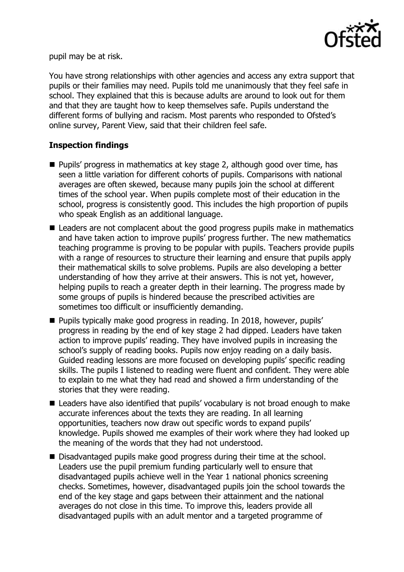

pupil may be at risk.

You have strong relationships with other agencies and access any extra support that pupils or their families may need. Pupils told me unanimously that they feel safe in school. They explained that this is because adults are around to look out for them and that they are taught how to keep themselves safe. Pupils understand the different forms of bullying and racism. Most parents who responded to Ofsted's online survey, Parent View, said that their children feel safe.

# **Inspection findings**

- **Pupils' progress in mathematics at key stage 2, although good over time, has** seen a little variation for different cohorts of pupils. Comparisons with national averages are often skewed, because many pupils join the school at different times of the school year. When pupils complete most of their education in the school, progress is consistently good. This includes the high proportion of pupils who speak English as an additional language.
- Leaders are not complacent about the good progress pupils make in mathematics and have taken action to improve pupils' progress further. The new mathematics teaching programme is proving to be popular with pupils. Teachers provide pupils with a range of resources to structure their learning and ensure that pupils apply their mathematical skills to solve problems. Pupils are also developing a better understanding of how they arrive at their answers. This is not yet, however, helping pupils to reach a greater depth in their learning. The progress made by some groups of pupils is hindered because the prescribed activities are sometimes too difficult or insufficiently demanding.
- Pupils typically make good progress in reading. In 2018, however, pupils' progress in reading by the end of key stage 2 had dipped. Leaders have taken action to improve pupils' reading. They have involved pupils in increasing the school's supply of reading books. Pupils now enjoy reading on a daily basis. Guided reading lessons are more focused on developing pupils' specific reading skills. The pupils I listened to reading were fluent and confident. They were able to explain to me what they had read and showed a firm understanding of the stories that they were reading.
- Leaders have also identified that pupils' vocabulary is not broad enough to make accurate inferences about the texts they are reading. In all learning opportunities, teachers now draw out specific words to expand pupils' knowledge. Pupils showed me examples of their work where they had looked up the meaning of the words that they had not understood.
- Disadvantaged pupils make good progress during their time at the school. Leaders use the pupil premium funding particularly well to ensure that disadvantaged pupils achieve well in the Year 1 national phonics screening checks. Sometimes, however, disadvantaged pupils join the school towards the end of the key stage and gaps between their attainment and the national averages do not close in this time. To improve this, leaders provide all disadvantaged pupils with an adult mentor and a targeted programme of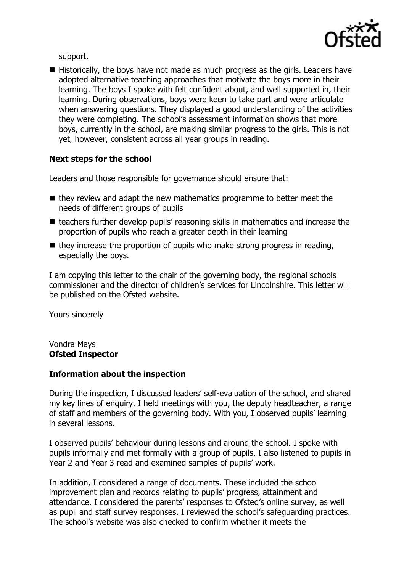

support.

■ Historically, the boys have not made as much progress as the girls. Leaders have adopted alternative teaching approaches that motivate the boys more in their learning. The boys I spoke with felt confident about, and well supported in, their learning. During observations, boys were keen to take part and were articulate when answering questions. They displayed a good understanding of the activities they were completing. The school's assessment information shows that more boys, currently in the school, are making similar progress to the girls. This is not yet, however, consistent across all year groups in reading.

# **Next steps for the school**

Leaders and those responsible for governance should ensure that:

- $\blacksquare$  they review and adapt the new mathematics programme to better meet the needs of different groups of pupils
- teachers further develop pupils' reasoning skills in mathematics and increase the proportion of pupils who reach a greater depth in their learning
- $\blacksquare$  they increase the proportion of pupils who make strong progress in reading, especially the boys.

I am copying this letter to the chair of the governing body, the regional schools commissioner and the director of children's services for Lincolnshire. This letter will be published on the Ofsted website.

Yours sincerely

Vondra Mays **Ofsted Inspector**

# **Information about the inspection**

During the inspection, I discussed leaders' self-evaluation of the school, and shared my key lines of enquiry. I held meetings with you, the deputy headteacher, a range of staff and members of the governing body. With you, I observed pupils' learning in several lessons.

I observed pupils' behaviour during lessons and around the school. I spoke with pupils informally and met formally with a group of pupils. I also listened to pupils in Year 2 and Year 3 read and examined samples of pupils' work.

In addition, I considered a range of documents. These included the school improvement plan and records relating to pupils' progress, attainment and attendance. I considered the parents' responses to Ofsted's online survey, as well as pupil and staff survey responses. I reviewed the school's safeguarding practices. The school's website was also checked to confirm whether it meets the